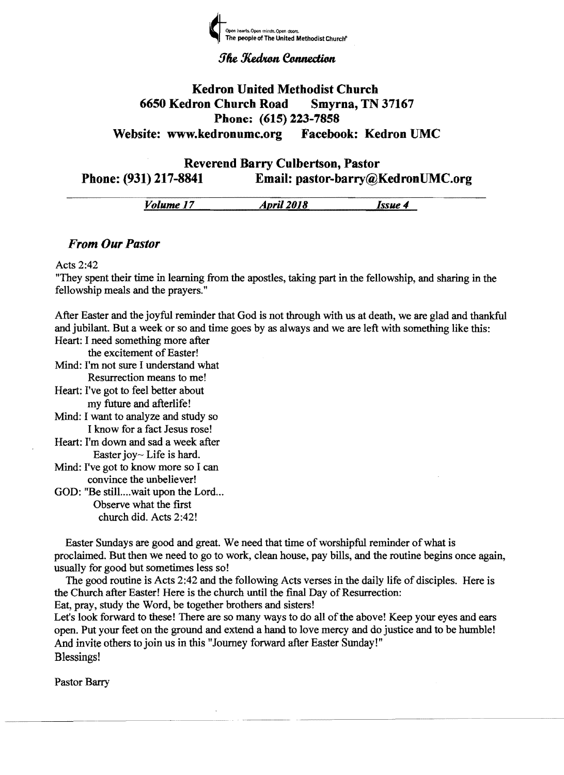

**The Kedron Connection** 

#### **Kedron United Methodist Church** 6650 Kedron Church Road Smyrna, TN 37167 Phone: (615) 223-7858 Website: www.kedronumc.org Facebook: Kedron UMC

Reverend Barry Culbertson, Pastor Phone: (931) 217-8841 Email: pastor-barry@KedronUMC.org

| <br>olume<br> | 2018<br>Anril<br><br>---------- | ø<br>_______ |
|---------------|---------------------------------|--------------|
|               |                                 |              |

#### *From Our Pastor*

#### Acts 2:42

"They spent their time in learning from the apostles, taking part in the fellowship, and sharing in the fellowship meals and the prayers."

After Easter and the joyful reminder that God is not through with us at death, we are glad and thankful and jubilant. But a week or so and time goes by as always and we are left with something like this: Heart: I need something more after

the excitement of Easter! Mind: I'm not sure I understand what Resurrection means to me! Heart: I've got to feel better about my future and afterlife! Mind: I want to analyze and study so I know for a fact Jesus rose! Heart: I'm down and sad a week after Easter  $ioy \sim$  Life is hard. Mind: I've got to know more so I can convince the unbeliever!

GOD: "Be still....wait upon the Lord... Observe what the first church did. Acts 2:42!

Easter Sundays are good and great. We need that time of worshipful reminder of what is proclaimed. But then we need to go to work, clean house, pay bills, and the routine begins once again, usually for good but sometimes less so!

The good routine is Acts 2:42 and the following Acts verses in the daily life of disciples. Here is the Church after Easter! Here is the church until the final Day of Resurrection:

Eat, pray, study the Word, be together brothers and sisters!

Let's look forward to these! There are so many ways to do all of the above! Keep your eyes and ears open. Put your feet on the ground and extend a hand to love mercy and do justice and to be humble! And invite others to join us in this "Journey forward after Easter Sunday!" Blessings!

Pastor Barry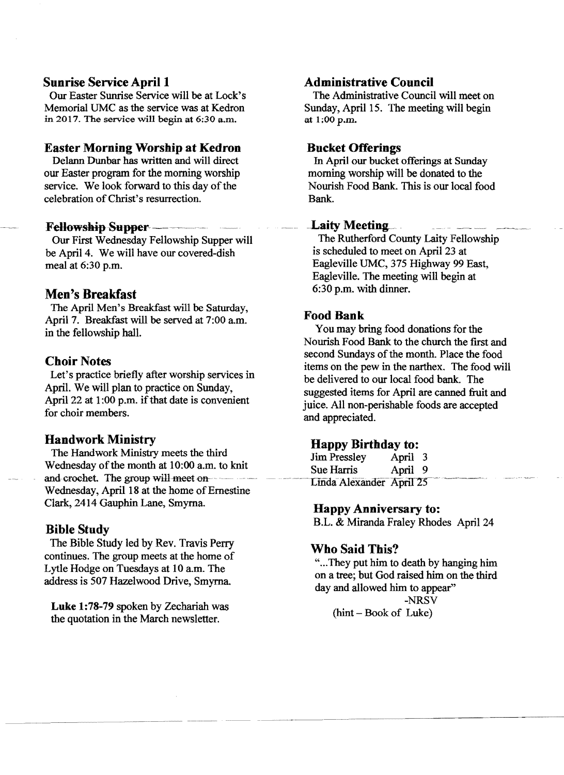#### **Sunrise Service April 1**

Our Easter Sunrise Service will be at Lock's Memorial UMC as the service was at Kedron in 2017. The service will begin at 6:30 a.m.

#### **Easter Morning Worship at Kedron**

Delann Dunbar has written and will direct our Easter program for the morning worship service. We look forward to this day of the celebration of Christ's resurrection.

#### **Fellowship Supper** -  $-$

Our First Wednesday Fellowship Supper will be April 4. We will have our covered-dish meal at 6:30 p.m.

#### **Men's Breakfast**

The April Men's Breakfast will be Saturday, April 7. Breakfast will be served at 7:00 am. in the fellowship hall.

#### **Choir Notes**

Let's practice briefly after worship services in April. We will plan to practice on Sunday, April 22 at  $1:00$  p.m. if that date is convenient for choir members.

#### **Handwork Ministry**

The Handwork Ministry meets the third Wednesday of the month at 10:00 a.m. to knit and crochet. The group will meet  $on$ ---Wednesday, April 18 at the home of Ernestine Clark, 2414 Gauphin Lane, Smyrna

#### **Bible Study**

The Bible Study led by Rev. Travis Perry continues. The group meets at the home of Lytle Hodge on Tuesdays at lOam. The address is 507 Hazelwood Drive, Smyrna

**Luke** 1:78-79 spoken by Zechariah was the quotation in the March newsletter.

#### **Administrative Council**

The Administrative Council will meet on Sunday, April 15. The meeting will begin at 1;00 p.m.

#### **Bucket Offerings**

In April our bucket offerings at Sunday morning worship will be donated to the Nourish Food Bank. This is our local food Bank .

#### **Laity Meeting**

The Rutherford County Laity Fellowship is scheduled to meet on April 23 at Eagleville UMC, 375 Highway 99 East, Eagleville. The meeting will begin at 6:30 p.m. with dinner.

#### Food Bank

You may bring food donations for the Nourish Food Bank to the church the fIrst and second Sundays of the month. Place the food items on the pew in the narthex. The food will be delivered to our local food bank. The suggested items for April are canned fruit and juice. All non-perishable foods are accepted and appreciated.

### **Happy Birthday to:**<br>Jim Pressley *April* 3

Jim Pressley Sue Harris April 9 Linda Alexander April 25

#### **Happy Anniversary to:**

B.L. & Miranda Fraley Rhodes April 24

#### **Who Said This?**

"... They put him to death by hanging him on a tree; but God raised him on the third day and allowed him to appear"

---\_.\_- . ..... -\_......\_-------------

-NRSV  $(hint - Book of Luke)$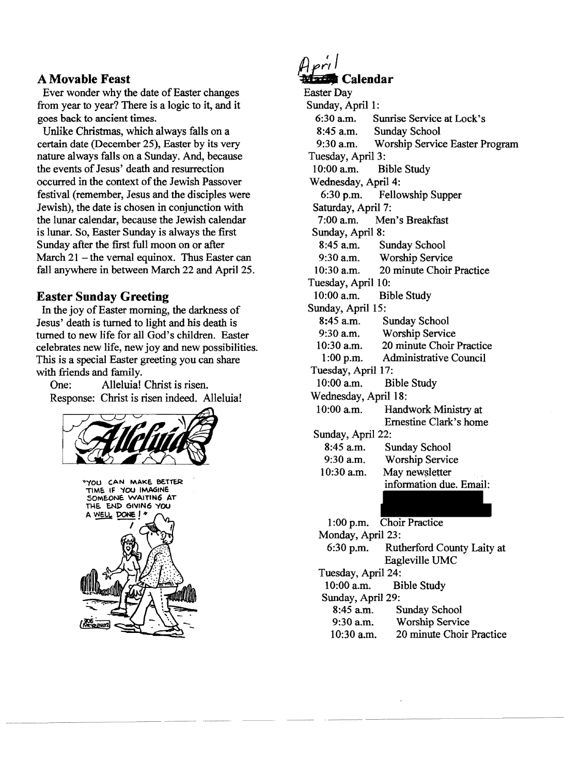#### A **Movable Feast**

Ever wonder why the date of Easter changes from year to year? There is a logic to it, and it goes back to ancient times.

Unlike Christmas, which always falls on a certain date (December 25), Easter by its very nature always falls on a Sunday. And, because the events of Jesus' death and resurrection occurred in the context of the Jewish Passover festival (remember, Jesus and the disciples were Jewish), the date is chosen in conjunction with the lunar calendar, because the Jewish calendar is lunar. So, Easter Sunday is always the first Sunday after the first full moon on or after March  $21$  – the vernal equinox. Thus Easter can fall anywhere in between March 22 and April 25.

#### **Easter Sunday Greeting**

In the joy of Easter morning, the darkness of Jesus' death is turned to light and his death is turned to new life for all God's children. Easter celebrates new life, new joy and new possibilities. This is a special Easter greeting you can share with friends and family.

One: Alleluia! Christ is risen. Response: Christ is risen indeed. Alleluia!





# ~;~ **Calendar**

Easter Day Sunday, April 1: 6:30 a.m. Sunrise Service at Lock's 8:45 a.m. Sunday School 9:30 a.m. Worship Service Easter Program Tuesday, April 3: 10:00 a.m. Bible Study Wednesday, April 4: 6:30 p.m. Fellowship Supper Saturday, April 7:<br>7:00 a.m. Mer Men's Breakfast Sunday, April 8: 8:45 a.m. Sunday School 9:30 a.m. Worship Service 10:30 a.m. 20 minute Choir Practice Tuesday, April 10: 10:00 a.m. Bible Study Sunday, April 15: 8:45 a.m. Sunday School 9:30 a.m. Worship Service<br>10:30 a.m. 20 minute Choir 20 minute Choir Practice 1 :00 p.m. Administrative Council Tuesday, April 17: 10:00 a.m. Bible Study Wednesday, April 18: 10:00 am. Handwork Ministry at Ernestine Clark's home Sunday, April 22: 8:45 a.m. Sunday School 9:30 a.m. Worship Service  $10:30$  a.m. May new sletter information due. Email: 1 :00 p.m. Choir Practice Monday, April 23: 6:30 p.m. Rutherford County Laity at Eagleville UMC Tuesday, April 24: 10:00 a.m. Bible Study Sunday, April 29: 8:45 a.m. Sunday School<br>9:30 a.m. Worship Servic Worship Service 10:30 a.m. 20 minute Choir Practice